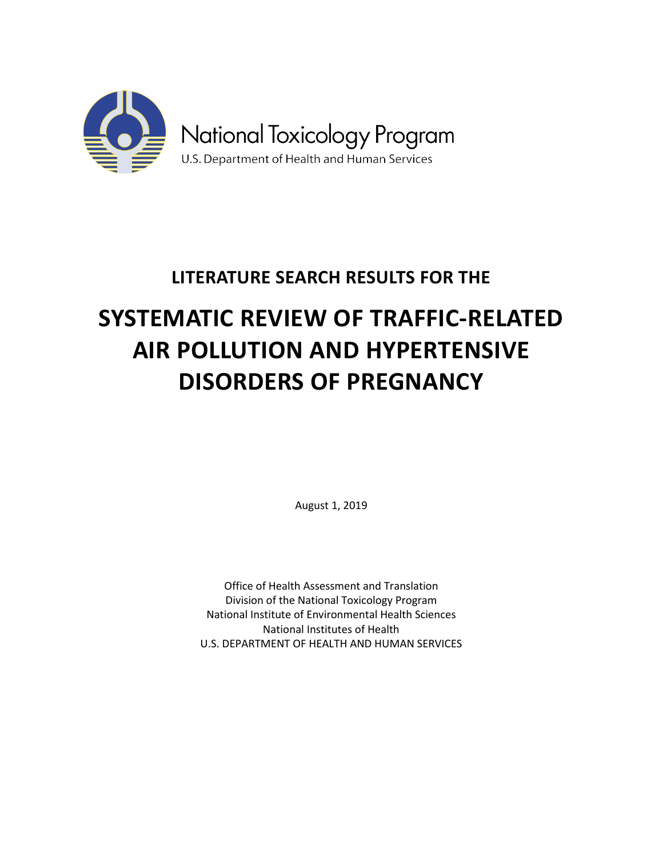

# **LITERATURE SEARCH RESULTS FOR THE**

# **SYSTEMATIC REVIEW OF TRAFFIC-RELATED AIR POLLUTION AND HYPERTENSIVE DISORDERS OF PREGNANCY**

August 1, 2019

Office of Health Assessment and Translation Division of the National Toxicology Program National Institute of Environmental Health Sciences National Institutes of Health U.S. DEPARTMENT OF HEALTH AND HUMAN SERVICES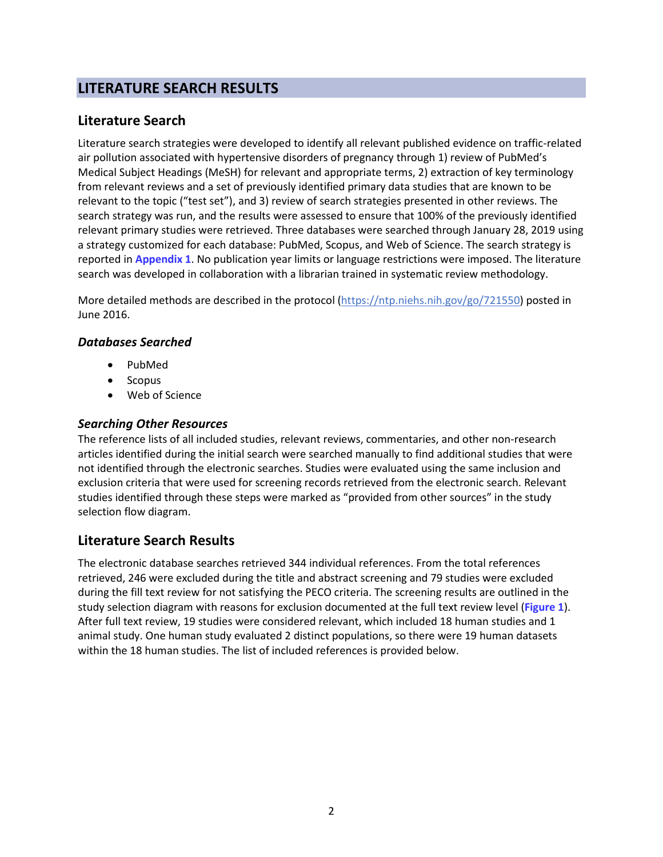# <span id="page-1-0"></span>**LITERATURE SEARCH RESULTS**

## **Literature Search**

Literature search strategies were developed to identify all relevant published evidence on traffic-related air pollution associated with hypertensive disorders of pregnancy through 1) review of PubMed's Medical Subject Headings (MeSH) for relevant and appropriate terms, 2) extraction of key terminology from relevant reviews and a set of previously identified primary data studies that are known to be relevant to the topic ("test set"), and 3) review of search strategies presented in other reviews. The search strategy was run, and the results were assessed to ensure that 100% of the previously identified relevant primary studies were retrieved. Three databases were searched through January 28, 2019 using a strategy customized for each database: PubMed, Scopus, and Web of Science. The search strategy is reported in **[Appendix](#page-5-0) 1**. No publication year limits or language restrictions were imposed. The literature search was developed in collaboration with a librarian trained in systematic review methodology.

More detailed methods are described in the protocol [\(https://ntp.niehs.nih.gov/go/721550\)](https://ntp.niehs.nih.gov/go/721550) posted in June 2016.

#### *Databases Searched*

- PubMed
- **Scopus**
- Web of Science

### *Searching Other Resources*

The reference lists of all included studies, relevant reviews, commentaries, and other non-research articles identified during the initial search were searched manually to find additional studies that were not identified through the electronic searches. Studies were evaluated using the same inclusion and exclusion criteria that were used for screening records retrieved from the electronic search. Relevant studies identified through these steps were marked as "provided from other sources" in the study selection flow diagram.

## **Literature Search Results**

The electronic database searches retrieved 344 individual references. From the total references retrieved, 246 were excluded during the title and abstract screening and 79 studies were excluded during the fill text review for not satisfying the PECO criteria. The screening results are outlined in the study selection diagram with reasons for exclusion documented at the full text review level (**[Figure](#page-1-0) 1**). After full text review, 19 studies were considered relevant, which included 18 human studies and 1 animal study. One human study evaluated 2 distinct populations, so there were 19 human datasets within the 18 human studies. The list of included references is provided below.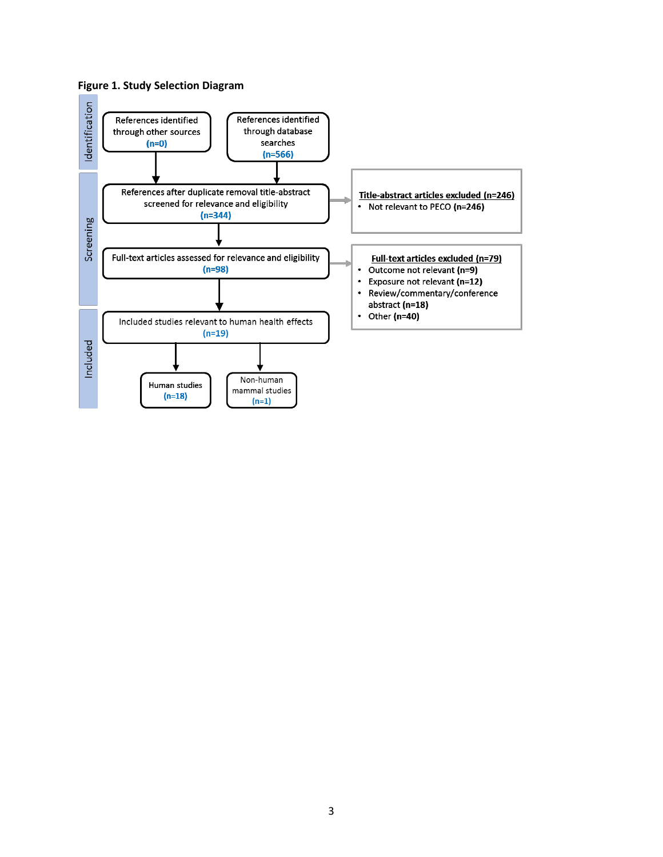

#### **Figure 1. Study Selection Diagram**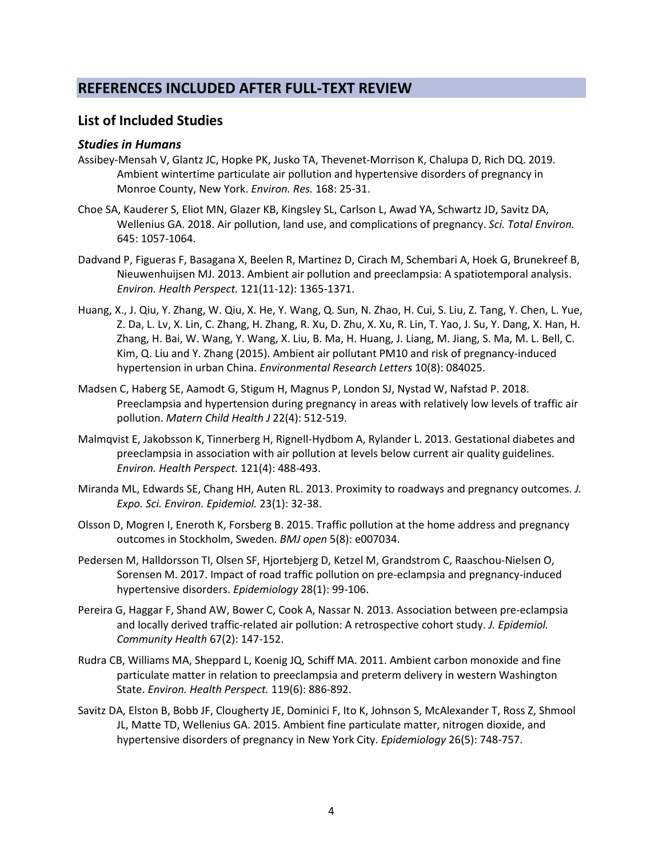## **REFERENCES INCLUDED AFTER FULL-TEXT REVIEW**

#### **List of Included Studies**

#### *Studies in Humans*

- Assibey-Mensah V, Glantz JC, Hopke PK, Jusko TA, Thevenet-Morrison K, Chalupa D, Rich DQ. 2019. Ambient wintertime particulate air pollution and hypertensive disorders of pregnancy in Monroe County, New York. *Environ. Res.* 168: 25-31.
- Choe SA, Kauderer S, Eliot MN, Glazer KB, Kingsley SL, Carlson L, Awad YA, Schwartz JD, Savitz DA, Wellenius GA. 2018. Air pollution, land use, and complications of pregnancy. *Sci. Total Environ.* 645: 1057-1064.
- Dadvand P, Figueras F, Basagana X, Beelen R, Martinez D, Cirach M, Schembari A, Hoek G, Brunekreef B, Nieuwenhuijsen MJ. 2013. Ambient air pollution and preeclampsia: A spatiotemporal analysis. *Environ. Health Perspect.* 121(11-12): 1365-1371.
- Huang, X., J. Qiu, Y. Zhang, W. Qiu, X. He, Y. Wang, Q. Sun, N. Zhao, H. Cui, S. Liu, Z. Tang, Y. Chen, L. Yue, Z. Da, L. Lv, X. Lin, C. Zhang, H. Zhang, R. Xu, D. Zhu, X. Xu, R. Lin, T. Yao, J. Su, Y. Dang, X. Han, H. Zhang, H. Bai, W. Wang, Y. Wang, X. Liu, B. Ma, H. Huang, J. Liang, M. Jiang, S. Ma, M. L. Bell, C. Kim, Q. Liu and Y. Zhang (2015). Ambient air pollutant PM10 and risk of pregnancy-induced hypertension in urban China. *Environmental Research Letters* 10(8): 084025.
- Madsen C, Haberg SE, Aamodt G, Stigum H, Magnus P, London SJ, Nystad W, Nafstad P. 2018. Preeclampsia and hypertension during pregnancy in areas with relatively low levels of traffic air pollution. *Matern Child Health J* 22(4): 512-519.
- Malmqvist E, Jakobsson K, Tinnerberg H, Rignell-Hydbom A, Rylander L. 2013. Gestational diabetes and preeclampsia in association with air pollution at levels below current air quality guidelines. *Environ. Health Perspect.* 121(4): 488-493.
- Miranda ML, Edwards SE, Chang HH, Auten RL. 2013. Proximity to roadways and pregnancy outcomes. *J. Expo. Sci. Environ. Epidemiol.* 23(1): 32-38.
- Olsson D, Mogren I, Eneroth K, Forsberg B. 2015. Traffic pollution at the home address and pregnancy outcomes in Stockholm, Sweden. *BMJ open* 5(8): e007034.
- Pedersen M, Halldorsson TI, Olsen SF, Hjortebjerg D, Ketzel M, Grandstrom C, Raaschou-Nielsen O, Sorensen M. 2017. Impact of road traffic pollution on pre-eclampsia and pregnancy-induced hypertensive disorders. *Epidemiology* 28(1): 99-106.
- Pereira G, Haggar F, Shand AW, Bower C, Cook A, Nassar N. 2013. Association between pre-eclampsia and locally derived traffic-related air pollution: A retrospective cohort study. *J. Epidemiol. Community Health* 67(2): 147-152.
- Rudra CB, Williams MA, Sheppard L, Koenig JQ, Schiff MA. 2011. Ambient carbon monoxide and fine particulate matter in relation to preeclampsia and preterm delivery in western Washington State. *Environ. Health Perspect.* 119(6): 886-892.
- Savitz DA, Elston B, Bobb JF, Clougherty JE, Dominici F, Ito K, Johnson S, McAlexander T, Ross Z, Shmool JL, Matte TD, Wellenius GA. 2015. Ambient fine particulate matter, nitrogen dioxide, and hypertensive disorders of pregnancy in New York City. *Epidemiology* 26(5): 748-757.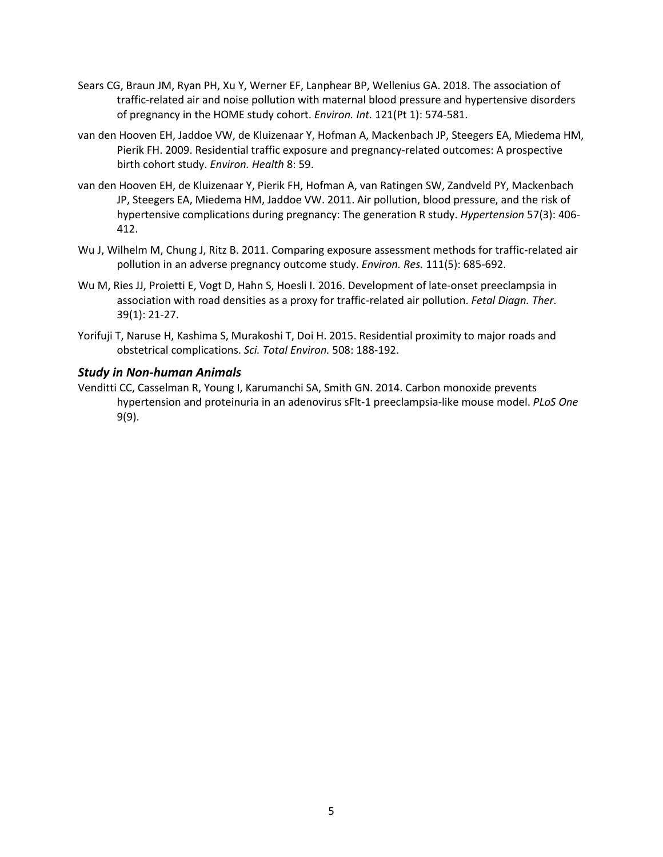- Sears CG, Braun JM, Ryan PH, Xu Y, Werner EF, Lanphear BP, Wellenius GA. 2018. The association of traffic-related air and noise pollution with maternal blood pressure and hypertensive disorders of pregnancy in the HOME study cohort. *Environ. Int.* 121(Pt 1): 574-581.
- van den Hooven EH, Jaddoe VW, de Kluizenaar Y, Hofman A, Mackenbach JP, Steegers EA, Miedema HM, Pierik FH. 2009. Residential traffic exposure and pregnancy-related outcomes: A prospective birth cohort study. *Environ. Health* 8: 59.
- van den Hooven EH, de Kluizenaar Y, Pierik FH, Hofman A, van Ratingen SW, Zandveld PY, Mackenbach JP, Steegers EA, Miedema HM, Jaddoe VW. 2011. Air pollution, blood pressure, and the risk of hypertensive complications during pregnancy: The generation R study. *Hypertension* 57(3): 406- 412.
- Wu J, Wilhelm M, Chung J, Ritz B. 2011. Comparing exposure assessment methods for traffic-related air pollution in an adverse pregnancy outcome study. *Environ. Res.* 111(5): 685-692.
- Wu M, Ries JJ, Proietti E, Vogt D, Hahn S, Hoesli I. 2016. Development of late-onset preeclampsia in association with road densities as a proxy for traffic-related air pollution. *Fetal Diagn. Ther.* 39(1): 21-27.
- Yorifuji T, Naruse H, Kashima S, Murakoshi T, Doi H. 2015. Residential proximity to major roads and obstetrical complications. *Sci. Total Environ.* 508: 188-192.

#### *Study in Non-human Animals*

Venditti CC, Casselman R, Young I, Karumanchi SA, Smith GN. 2014. Carbon monoxide prevents hypertension and proteinuria in an adenovirus sFlt-1 preeclampsia-like mouse model. *PLoS One* 9(9).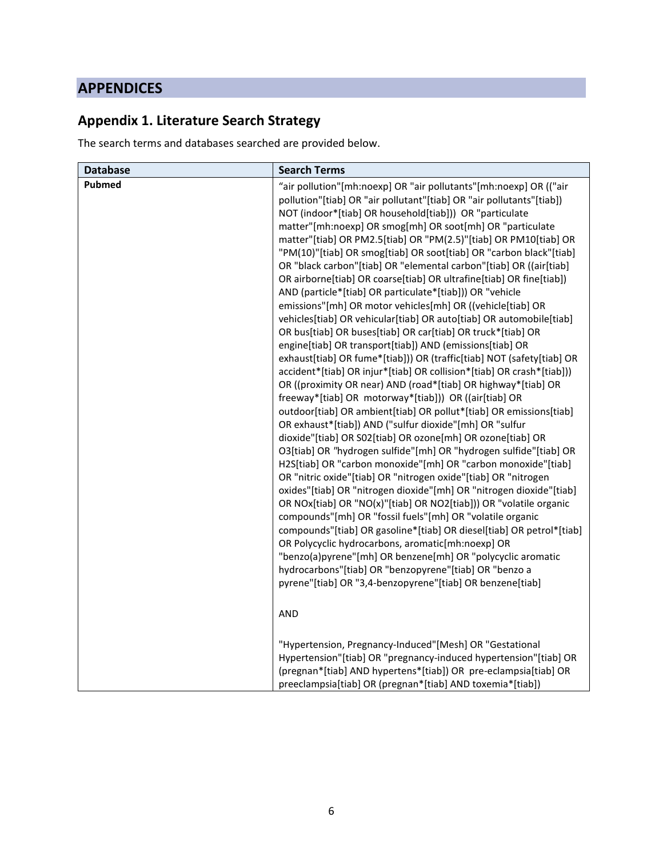# **APPENDICES**

# <span id="page-5-0"></span>**Appendix 1. Literature Search Strategy**

The search terms and databases searched are provided below.

| <b>Database</b> | <b>Search Terms</b>                                                                                                                                                                                                                                                                                                                                                                                                                                                                                                                                                                                                                                                                                                                                                                                                                                                                                                                                                                                                                                                                                                                                                                                                                                                                                                                                                                                                                                                                                                                                                                                                                                                                                                                                                                                                                                                                                                                                                                                                                                                                                 |
|-----------------|-----------------------------------------------------------------------------------------------------------------------------------------------------------------------------------------------------------------------------------------------------------------------------------------------------------------------------------------------------------------------------------------------------------------------------------------------------------------------------------------------------------------------------------------------------------------------------------------------------------------------------------------------------------------------------------------------------------------------------------------------------------------------------------------------------------------------------------------------------------------------------------------------------------------------------------------------------------------------------------------------------------------------------------------------------------------------------------------------------------------------------------------------------------------------------------------------------------------------------------------------------------------------------------------------------------------------------------------------------------------------------------------------------------------------------------------------------------------------------------------------------------------------------------------------------------------------------------------------------------------------------------------------------------------------------------------------------------------------------------------------------------------------------------------------------------------------------------------------------------------------------------------------------------------------------------------------------------------------------------------------------------------------------------------------------------------------------------------------------|
| <b>Pubmed</b>   | "air pollution"[mh:noexp] OR "air pollutants"[mh:noexp] OR (("air<br>pollution"[tiab] OR "air pollutant"[tiab] OR "air pollutants"[tiab])<br>NOT (indoor*[tiab] OR household[tiab])) OR "particulate<br>matter"[mh:noexp] OR smog[mh] OR soot[mh] OR "particulate<br>matter"[tiab] OR PM2.5[tiab] OR "PM(2.5)"[tiab] OR PM10[tiab] OR<br>"PM(10)"[tiab] OR smog[tiab] OR soot[tiab] OR "carbon black"[tiab]<br>OR "black carbon"[tiab] OR "elemental carbon"[tiab] OR ((air[tiab]<br>OR airborne[tiab] OR coarse[tiab] OR ultrafine[tiab] OR fine[tiab])<br>AND (particle*[tiab] OR particulate*[tiab])) OR "vehicle<br>emissions"[mh] OR motor vehicles[mh] OR ((vehicle[tiab] OR<br>vehicles[tiab] OR vehicular[tiab] OR auto[tiab] OR automobile[tiab]<br>OR bus[tiab] OR buses[tiab] OR car[tiab] OR truck*[tiab] OR<br>engine[tiab] OR transport[tiab]) AND (emissions[tiab] OR<br>exhaust[tiab] OR fume*[tiab])) OR (traffic[tiab] NOT (safety[tiab] OR<br>accident*[tiab] OR injur*[tiab] OR collision*[tiab] OR crash*[tiab]))<br>OR ((proximity OR near) AND (road*[tiab] OR highway*[tiab] OR<br>freeway*[tiab] OR motorway*[tiab])) OR ((air[tiab] OR<br>outdoor[tiab] OR ambient[tiab] OR pollut*[tiab] OR emissions[tiab]<br>OR exhaust*[tiab]) AND ("sulfur dioxide"[mh] OR "sulfur<br>dioxide"[tiab] OR S02[tiab] OR ozone[mh] OR ozone[tiab] OR<br>O3[tiab] OR "hydrogen sulfide"[mh] OR "hydrogen sulfide"[tiab] OR<br>H2S[tiab] OR "carbon monoxide"[mh] OR "carbon monoxide"[tiab]<br>OR "nitric oxide"[tiab] OR "nitrogen oxide"[tiab] OR "nitrogen<br>oxides"[tiab] OR "nitrogen dioxide"[mh] OR "nitrogen dioxide"[tiab]<br>OR NOx[tiab] OR "NO(x)"[tiab] OR NO2[tiab])) OR "volatile organic<br>compounds"[mh] OR "fossil fuels"[mh] OR "volatile organic<br>compounds"[tiab] OR gasoline*[tiab] OR diesel[tiab] OR petrol*[tiab]<br>OR Polycyclic hydrocarbons, aromatic[mh:noexp] OR<br>"benzo(a)pyrene"[mh] OR benzene[mh] OR "polycyclic aromatic<br>hydrocarbons"[tiab] OR "benzopyrene"[tiab] OR "benzo a<br>pyrene"[tiab] OR "3,4-benzopyrene"[tiab] OR benzene[tiab] |
|                 | <b>AND</b>                                                                                                                                                                                                                                                                                                                                                                                                                                                                                                                                                                                                                                                                                                                                                                                                                                                                                                                                                                                                                                                                                                                                                                                                                                                                                                                                                                                                                                                                                                                                                                                                                                                                                                                                                                                                                                                                                                                                                                                                                                                                                          |
|                 | "Hypertension, Pregnancy-Induced"[Mesh] OR "Gestational<br>Hypertension"[tiab] OR "pregnancy-induced hypertension"[tiab] OR<br>(pregnan*[tiab] AND hypertens*[tiab]) OR pre-eclampsia[tiab] OR<br>preeclampsia[tiab] OR (pregnan*[tiab] AND toxemia*[tiab])                                                                                                                                                                                                                                                                                                                                                                                                                                                                                                                                                                                                                                                                                                                                                                                                                                                                                                                                                                                                                                                                                                                                                                                                                                                                                                                                                                                                                                                                                                                                                                                                                                                                                                                                                                                                                                         |